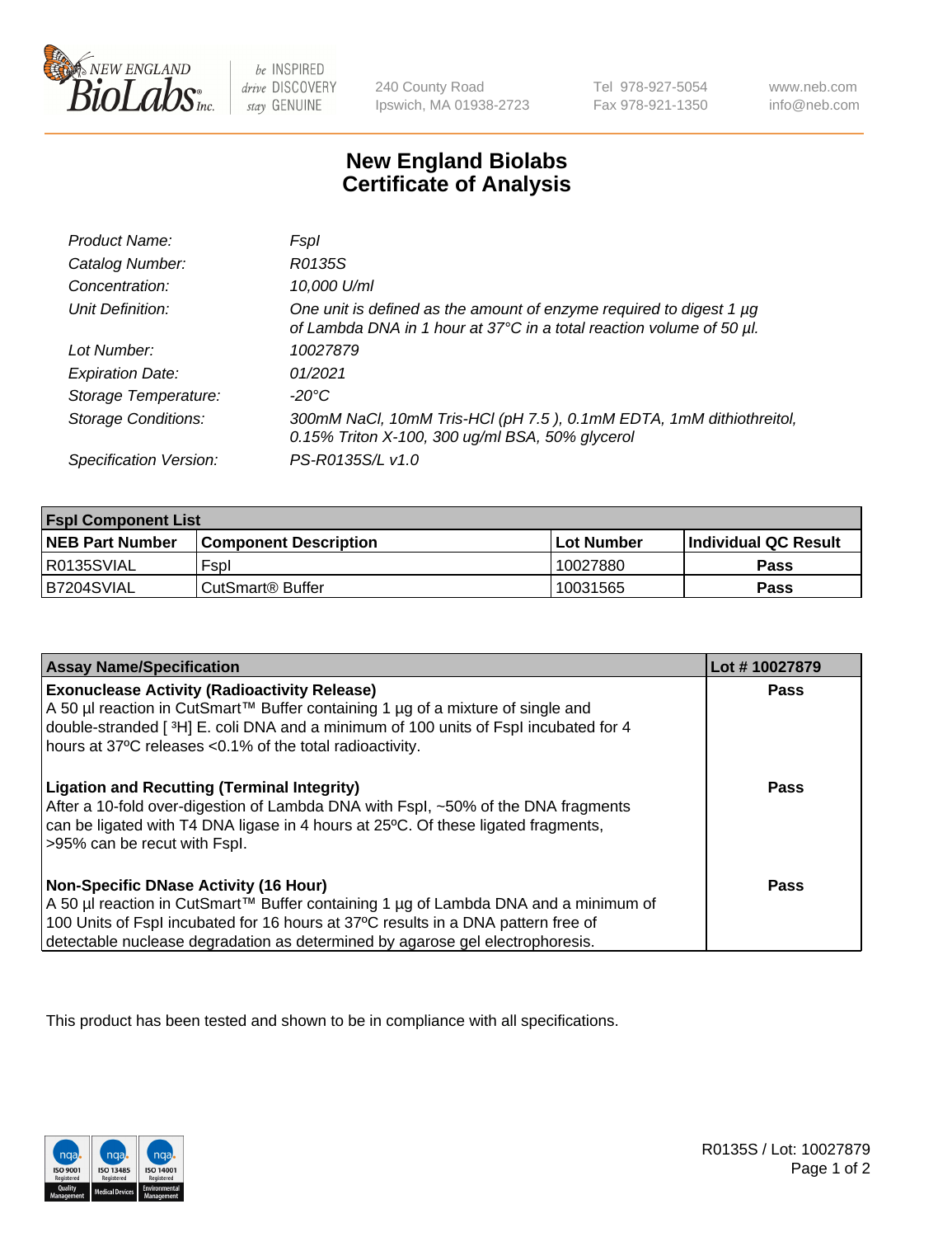

 $be$  INSPIRED drive DISCOVERY stay GENUINE

240 County Road Ipswich, MA 01938-2723 Tel 978-927-5054 Fax 978-921-1350 www.neb.com info@neb.com

## **New England Biolabs Certificate of Analysis**

| Product Name:              | Fspl                                                                                                                                        |
|----------------------------|---------------------------------------------------------------------------------------------------------------------------------------------|
| Catalog Number:            | R0135S                                                                                                                                      |
| Concentration:             | 10,000 U/ml                                                                                                                                 |
| Unit Definition:           | One unit is defined as the amount of enzyme required to digest 1 µg<br>of Lambda DNA in 1 hour at 37°C in a total reaction volume of 50 µl. |
| Lot Number:                | 10027879                                                                                                                                    |
| <b>Expiration Date:</b>    | 01/2021                                                                                                                                     |
| Storage Temperature:       | -20°C                                                                                                                                       |
| <b>Storage Conditions:</b> | 300mM NaCl, 10mM Tris-HCl (pH 7.5), 0.1mM EDTA, 1mM dithiothreitol,<br>0.15% Triton X-100, 300 ug/ml BSA, 50% glycerol                      |
| Specification Version:     | PS-R0135S/L v1.0                                                                                                                            |

| <b>Fspl Component List</b> |                              |                   |                             |  |
|----------------------------|------------------------------|-------------------|-----------------------------|--|
| <b>NEB Part Number</b>     | <b>Component Description</b> | <b>Lot Number</b> | <b>Individual QC Result</b> |  |
| I R0135SVIAL               | Fspl                         | 10027880          | Pass                        |  |
| IB7204SVIAL                | CutSmart <sup>®</sup> Buffer | 10031565          | Pass                        |  |

| <b>Assay Name/Specification</b>                                                                                                                                                                                                                                                                           | Lot #10027879 |
|-----------------------------------------------------------------------------------------------------------------------------------------------------------------------------------------------------------------------------------------------------------------------------------------------------------|---------------|
| <b>Exonuclease Activity (Radioactivity Release)</b><br>A 50 µl reaction in CutSmart™ Buffer containing 1 µg of a mixture of single and<br>double-stranded [3H] E. coli DNA and a minimum of 100 units of Fspl incubated for 4<br>hours at 37°C releases <0.1% of the total radioactivity.                 | Pass          |
| <b>Ligation and Recutting (Terminal Integrity)</b><br>After a 10-fold over-digestion of Lambda DNA with Fspl, ~50% of the DNA fragments<br>can be ligated with T4 DNA ligase in 4 hours at 25 °C. Of these ligated fragments,<br>>95% can be recut with Fspl.                                             | Pass          |
| <b>Non-Specific DNase Activity (16 Hour)</b><br>A 50 µl reaction in CutSmart™ Buffer containing 1 µg of Lambda DNA and a minimum of<br>100 Units of Fspl incubated for 16 hours at 37°C results in a DNA pattern free of<br>detectable nuclease degradation as determined by agarose gel electrophoresis. | <b>Pass</b>   |

This product has been tested and shown to be in compliance with all specifications.